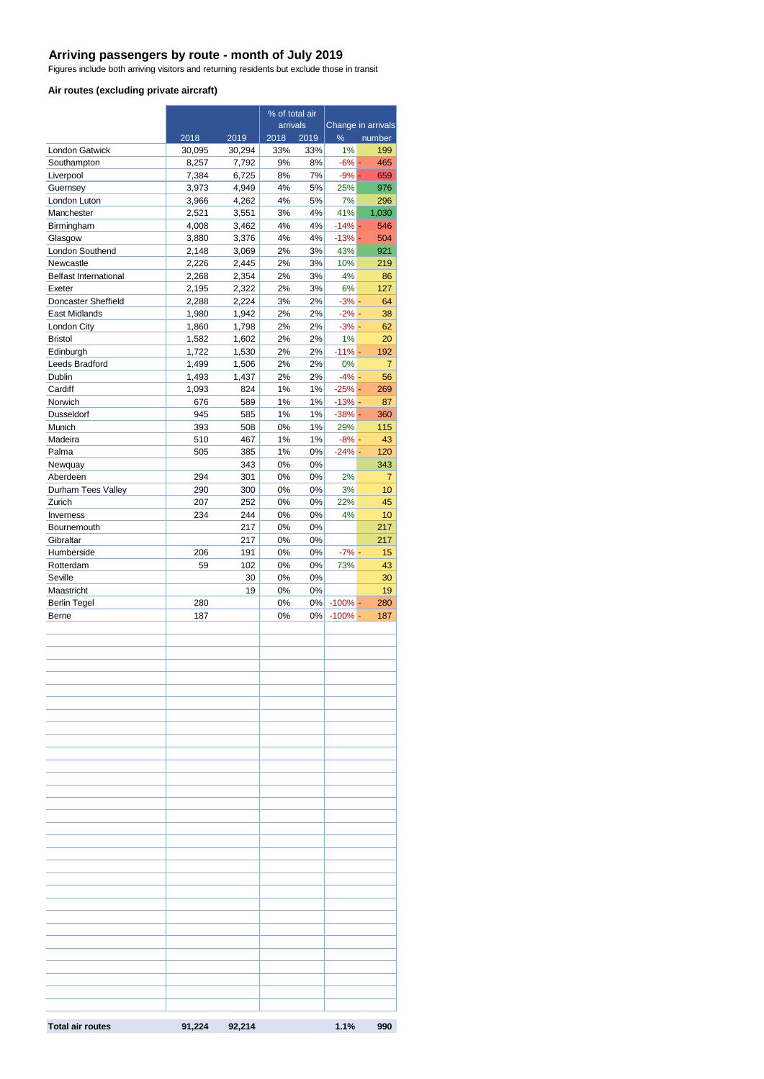#### **Arriving passengers by route - month of July 2019**

Figures include both arriving visitors and returning residents but exclude those in transit

#### **Air routes (excluding private aircraft)**

|                                           |                |                | % of total air |             |                      |                    |
|-------------------------------------------|----------------|----------------|----------------|-------------|----------------------|--------------------|
|                                           |                |                | arrivals       |             |                      | Change in arrivals |
| London Gatwick                            | 2018<br>30,095 | 2019<br>30,294 | 2018<br>33%    | 2019<br>33% | ℅<br>1%              | number<br>199      |
| Southampton                               | 8,257          | 7,792          | 9%             | 8%          | $-6%$                | 465                |
| Liverpool                                 | 7,384          | 6,725          | 8%             | 7%          | $-9%$ -              | 659                |
| Guernsey                                  | 3,973          | 4,949          | 4%             | 5%          | 25%                  | 976                |
| London Luton                              | 3,966          | 4,262          | 4%             | 5%          | 7%                   | 296                |
| Manchester                                | 2,521          | 3,551          | 3%             | 4%          | 41%                  | 1,030              |
| Birmingham                                | 4,008          | 3,462          | 4%             | 4%          | $-14% -$             | 546                |
| Glasgow                                   | 3,880          | 3,376          | 4%             | 4%          | $-13% -$             | 504                |
| London Southend                           | 2,148          | 3,069          | 2%             | 3%          | 43%                  | 921                |
| Newcastle<br><b>Belfast International</b> | 2,226          | 2,445          | 2%<br>2%       | 3%<br>3%    | 10%<br>4%            | 219                |
| Exeter                                    | 2,268<br>2,195 | 2,354<br>2,322 | 2%             | 3%          | 6%                   | 86<br>127          |
| Doncaster Sheffield                       | 2,288          | 2,224          | 3%             | 2%          | $-3\%$ -             | 64                 |
| East Midlands                             | 1,980          | 1,942          | 2%             | 2%          | $-2% -$              | 38                 |
| London City                               | 1,860          | 1,798          | 2%             | 2%          | $-3% -$              | 62                 |
| <b>Bristol</b>                            | 1,582          | 1,602          | 2%             | 2%          | 1%                   | 20                 |
| Edinburgh                                 | 1,722          | 1,530          | 2%             | 2%          | $-11% -$             | 192                |
| Leeds Bradford                            | 1,499          | 1,506          | 2%             | 2%          | 0%                   | 7                  |
| Dublin                                    | 1,493          | 1,437          | 2%             | 2%          | $-4% -$              | 56                 |
| Cardiff                                   | 1,093          | 824            | 1%             | $1\%$       | $-25% -$             | 269                |
| Norwich                                   | 676            | 589            | 1%             | $1\%$       | $-13% -$             | 87                 |
| Dusseldorf                                | 945            | 585            | 1%             | $1\%$       | $-38% -$             | 360                |
| Munich                                    | 393            | 508            | 0%             | $1\%$       | 29%                  | 115                |
| Madeira<br>Palma                          | 510<br>505     | 467<br>385     | 1%<br>1%       | $1\%$<br>0% | $-8\%$ -<br>$-24%$ - | 43<br>120          |
| Newquay                                   |                | 343            | 0%             | 0%          |                      | 343                |
| Aberdeen                                  | 294            | 301            | 0%             | 0%          | 2%                   | 7                  |
| Durham Tees Valley                        | 290            | 300            | 0%             | 0%          | 3%                   | 10                 |
| Zurich                                    | 207            | 252            | 0%             | 0%          | 22%                  | 45                 |
| Inverness                                 | 234            | 244            | 0%             | 0%          | 4%                   | 10                 |
| Bournemouth                               |                | 217            | 0%             | 0%          |                      | 217                |
| Gibraltar                                 |                | 217            | 0%             | 0%          |                      | 217                |
| Humberside                                | 206            | 191            | 0%             | 0%          | $-7% -$              | 15                 |
| Rotterdam                                 | 59             | 102            | 0%             | 0%          | 73%                  | 43                 |
| Seville                                   |                | 30             | 0%             | 0%          |                      | 30                 |
| Maastricht                                |                | 19             | 0%             | 0%          |                      | 19                 |
| <b>Berlin Tegel</b><br>Berne              | 280<br>187     |                | 0%             | 0%          | $-100%$              | 280<br>187         |
|                                           |                |                | 0%             | 0%          | $-100\%$ -           |                    |
|                                           |                |                |                |             |                      |                    |
|                                           |                |                |                |             |                      |                    |
|                                           |                |                |                |             |                      |                    |
|                                           |                |                |                |             |                      |                    |
|                                           |                |                |                |             |                      |                    |
|                                           |                |                |                |             |                      |                    |
|                                           |                |                |                |             |                      |                    |
|                                           |                |                |                |             |                      |                    |
|                                           |                |                |                |             |                      |                    |
|                                           |                |                |                |             |                      |                    |
|                                           |                |                |                |             |                      |                    |
|                                           |                |                |                |             |                      |                    |
|                                           |                |                |                |             |                      |                    |
|                                           |                |                |                |             |                      |                    |
|                                           |                |                |                |             |                      |                    |
|                                           |                |                |                |             |                      |                    |
|                                           |                |                |                |             |                      |                    |
|                                           |                |                |                |             |                      |                    |
|                                           |                |                |                |             |                      |                    |
|                                           |                |                |                |             |                      |                    |
|                                           |                |                |                |             |                      |                    |
|                                           |                |                |                |             |                      |                    |
|                                           |                |                |                |             |                      |                    |
|                                           |                |                |                |             |                      |                    |
|                                           |                |                |                |             |                      |                    |
|                                           |                |                |                |             |                      |                    |
|                                           |                |                |                |             |                      |                    |
|                                           |                |                |                |             |                      |                    |
|                                           |                |                |                |             |                      |                    |
| <b>Total air routes</b>                   | 91,224         | 92,214         |                |             | 1.1%                 | 990                |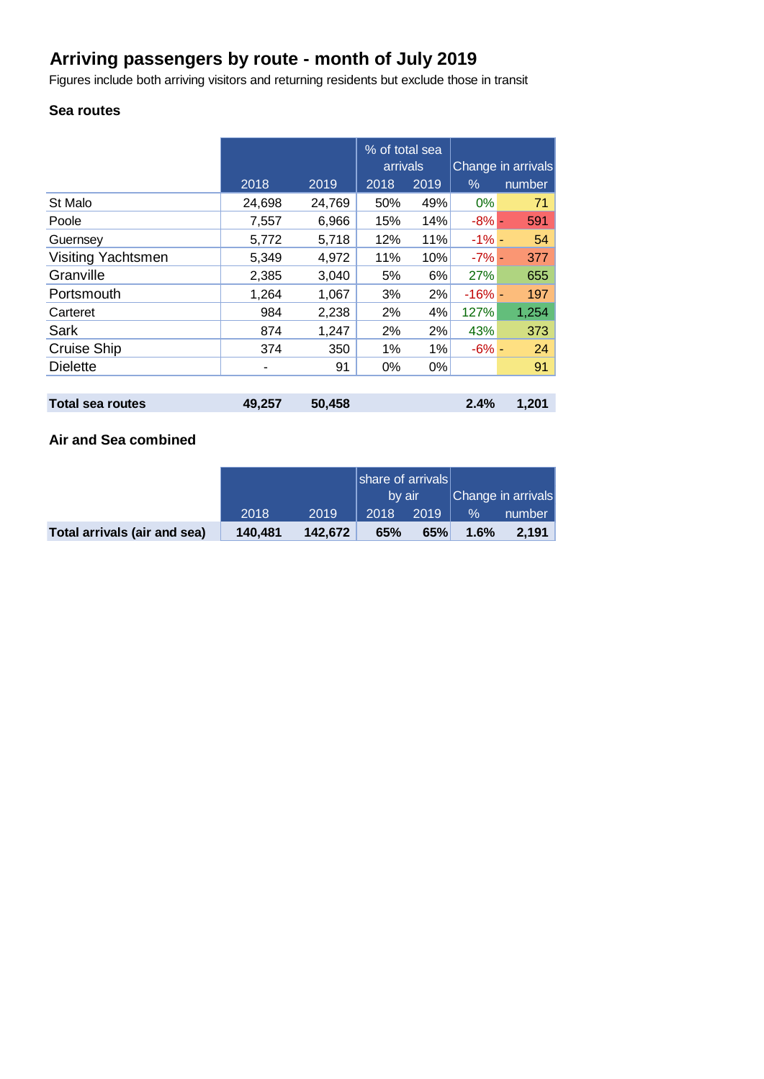# **Arriving passengers by route - month of July 2019**

Figures include both arriving visitors and returning residents but exclude those in transit

### **Sea routes**

|                           |        |        | % of total sea<br>arrivals |      | Change in arrivals |        |  |
|---------------------------|--------|--------|----------------------------|------|--------------------|--------|--|
|                           | 2018   | 2019   | 2018                       | 2019 | $\%$               | number |  |
| St Malo                   | 24,698 | 24,769 | 50%                        | 49%  | $0\%$              | 71     |  |
| Poole                     | 7,557  | 6,966  | 15%                        | 14%  | $-8% -$            | 591    |  |
| Guernsey                  | 5,772  | 5,718  | 12%                        | 11%  | $-1\%$ -           | 54     |  |
| <b>Visiting Yachtsmen</b> | 5,349  | 4,972  | 11%                        | 10%  | $-7\%$ -           | 377    |  |
| Granville                 | 2,385  | 3,040  | 5%                         | 6%   | 27%                | 655    |  |
| Portsmouth                | 1,264  | 1,067  | 3%                         | 2%   | $-16%$ -           | 197    |  |
| Carteret                  | 984    | 2,238  | 2%                         | 4%   | 127%               | 1,254  |  |
| Sark                      | 874    | 1,247  | 2%                         | 2%   | 43%                | 373    |  |
| Cruise Ship               | 374    | 350    | 1%                         | 1%   | $-6\%$ -           | 24     |  |
| <b>Dielette</b>           | ۰      | 91     | 0%                         | 0%   |                    | 91     |  |
|                           |        |        |                            |      |                    |        |  |
| <b>Total sea routes</b>   | 49,257 | 50,458 |                            |      | 2.4%               | 1,201  |  |

## **Air and Sea combined**

|                              |         |         | share of arrivals<br>by air |      |      | Change in arrivals |
|------------------------------|---------|---------|-----------------------------|------|------|--------------------|
|                              | 2018    | 2019    | 2018                        | 2019 | $\%$ | number             |
| Total arrivals (air and sea) | 140.481 | 142.672 | 65%                         | 65%  | 1.6% | 2.191              |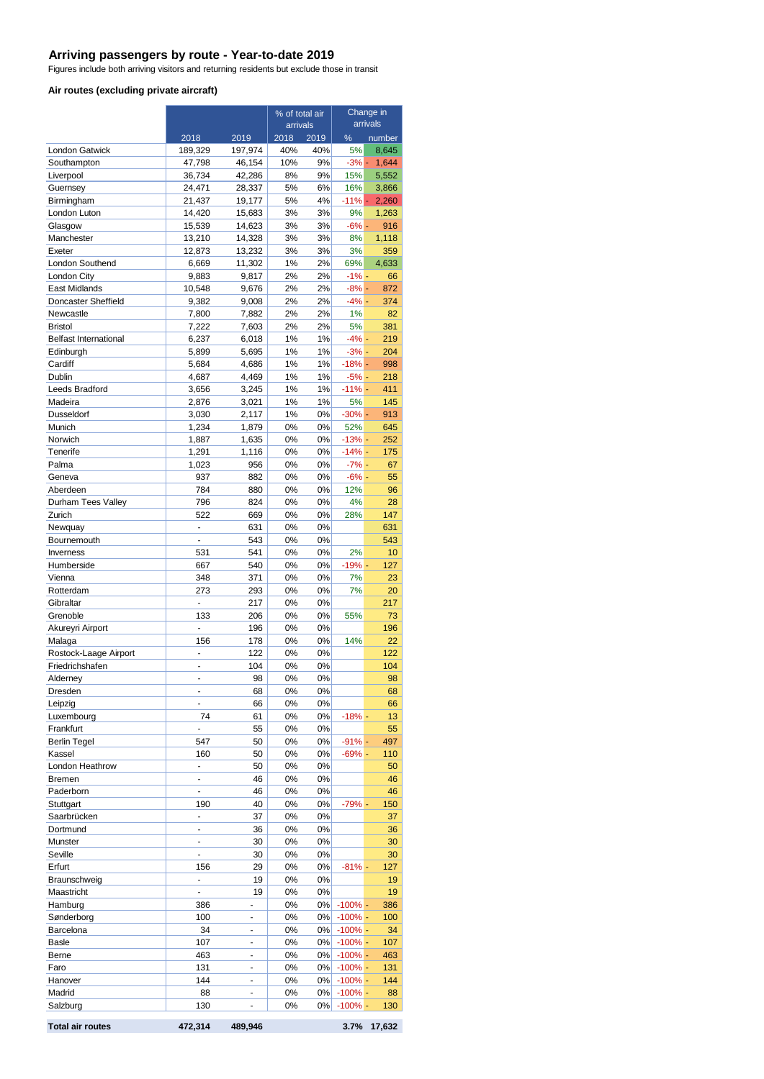#### **Arriving passengers by route - Year-to-date 2019**

Figures include both arriving visitors and returning residents but exclude those in transit

#### **Air routes (excluding private aircraft)**

|                              |                  | % of total air   |          | Change in |                        |              |
|------------------------------|------------------|------------------|----------|-----------|------------------------|--------------|
|                              |                  |                  | arrivals |           | arrivals               |              |
|                              | 2018             | 2019             | 2018     | 2019      | %                      | number       |
| London Gatwick               | 189,329          | 197,974          | 40%      | 40%       | 5%                     | 8,645        |
| Southampton                  | 47,798           | 46,154           | 10%      | 9%        | $-3%$ -                | 1,644        |
| Liverpool                    | 36,734           | 42,286           | 8%       | 9%        | 15%                    | 5,552        |
| Guernsey                     | 24,471           | 28,337           | 5%       | 6%        | 16%                    | 3,866        |
| Birmingham                   | 21,437           | 19,177           | 5%       | 4%        | $-11% -$               | 2,260        |
| London Luton                 | 14,420           | 15,683           | 3%       | 3%        | 9%                     | 1,263        |
| Glasgow<br>Manchester        | 15,539<br>13,210 | 14,623<br>14,328 | 3%<br>3% | 3%<br>3%  | $-6\% -$<br>8%         | 916<br>1,118 |
| Exeter                       | 12,873           | 13,232           | 3%       | 3%        | 3%                     | 359          |
| London Southend              | 6,669            | 11,302           | 1%       | 2%        | 69%                    | 4,633        |
| London City                  | 9,883            | 9,817            | 2%       | 2%        | $-1% -$                | 66           |
| <b>East Midlands</b>         | 10,548           | 9,676            | 2%       | 2%        | $-8%$ -                | 872          |
| Doncaster Sheffield          | 9,382            | 9,008            | 2%       | 2%        | $-4% -$                | 374          |
| Newcastle                    | 7,800            | 7,882            | 2%       | 2%        | 1%                     | 82           |
| <b>Bristol</b>               | 7,222            | 7,603            | 2%       | 2%        | 5%                     | 381          |
| <b>Belfast International</b> | 6,237            | 6,018            | 1%       | 1%        | $-4\%$ -               | 219          |
| Edinburgh                    | 5,899            | 5,695            | 1%       | 1%        | $-3\%$ -               | 204          |
| Cardiff                      | 5,684            | 4,686            | 1%       | 1%        | $-18% -$               | 998          |
| Dublin                       | 4,687            | 4,469            | 1%       | 1%        | $-5% -$                | 218          |
| Leeds Bradford               | 3,656            | 3,245            | 1%       | 1%        | $-11% -$               | 411          |
| Madeira                      | 2,876            | 3,021            | 1%       | 1%        | 5%                     | 145          |
| Dusseldorf                   | 3,030            | 2,117            | 1%       | 0%        | $-30\%$ -              | 913          |
| Munich                       | 1,234            | 1,879            | 0%       | 0%        | 52%                    | 645          |
| Norwich                      | 1,887            | 1,635            | 0%       | 0%        | $-13% -$               | 252          |
| Tenerife                     | 1,291            | 1,116            | 0%       | 0%        | $-14% -$               | 175          |
| Palma                        | 1,023            | 956              | 0%       | 0%        | $-7% -$                | 67           |
| Geneva                       | 937              | 882              | 0%       | 0%        | $-6% -$                | 55           |
| Aberdeen                     | 784              | 880              | 0%       | 0%        | 12%                    | 96           |
| Durham Tees Valley           | 796              | 824              | 0%       | 0%        | 4%                     | 28           |
| Zurich                       | 522              | 669              | 0%       | 0%        | 28%                    | 147          |
| Newquay                      | L.               | 631              | 0%       | 0%        |                        | 631          |
| Bournemouth                  | L,               | 543              | 0%       | 0%        |                        | 543          |
| Inverness                    | 531              | 541              | 0%       | 0%        | 2%                     | 10           |
| Humberside                   | 667              | 540              | 0%       | 0%        | $-19% -$               | 127          |
| Vienna                       | 348              | 371              | 0%       | 0%        | 7%                     | 23           |
| Rotterdam<br>Gibraltar       | 273<br>٠         | 293<br>217       | 0%<br>0% | 0%<br>0%  | 7%                     | 20<br>217    |
| Grenoble                     | 133              | 206              | 0%       | 0%        | 55%                    | 73           |
| Akureyri Airport             |                  | 196              | 0%       | 0%        |                        | 196          |
| Malaga                       | 156              | 178              | 0%       | 0%        | 14%                    | 22           |
| Rostock-Laage Airport        | ä,               | 122              | 0%       | 0%        |                        | 122          |
| Friedrichshafen              | ÷,               | 104              | 0%       | 0%        |                        | 104          |
| Alderney                     |                  | 98               | 0%       | 0%        |                        | 98           |
| Dresden                      | ÷,               | 68               | 0%       | 0%        |                        | 68           |
| Leipzig                      | L.               | 66               | 0%       | 0%        |                        | 66           |
| Luxembourg                   | 74               | 61               | 0%       | 0%        | $-18%$ -               | 13           |
| Frankfurt                    |                  | 55               | 0%       | 0%        |                        | 55           |
| <b>Berlin Tegel</b>          | 547              | 50               | 0%       | 0%        | $-91%$ -               | 497          |
| Kassel                       | 160              | 50               | 0%       | 0%        | $-69%$ -               | 110          |
| London Heathrow              |                  | 50               | 0%       | 0%        |                        | 50           |
| Bremen                       | ÷                | 46               | 0%       | 0%        |                        | 46           |
| Paderborn                    | ÷,               | 46               | 0%       | 0%        |                        | 46           |
| Stuttgart                    | 190              | 40               | 0%       | 0%        | $-79%$ -               | 150          |
| Saarbrücken                  | $\blacksquare$   | 37               | 0%       | 0%        |                        | 37           |
| Dortmund                     | ÷,               | 36               | 0%       | 0%        |                        | 36           |
| Munster                      | ä,               | 30               | 0%       | 0%        |                        | 30           |
| Seville                      | ä,               | 30               | 0%       | 0%        |                        | 30           |
| Erfurt                       | 156              | 29               | 0%       | 0%        | $-81%$ -               | 127          |
| Braunschweig                 | $\blacksquare$   | 19               | 0%       | 0%        |                        | 19           |
| Maastricht                   | $\blacksquare$   | 19               | 0%       | 0%        |                        | 19           |
| Hamburg                      | 386              |                  | 0%       | 0%        | $-100%$ -              | 386          |
| Sønderborg                   | 100              |                  | 0%       | 0%        | $-100% -$              | 100          |
| Barcelona                    | 34<br>107        | L,               | 0%       | 0%<br>0%  | $-100\%$ -             | 34           |
| Basle<br>Berne               | 463              | $\blacksquare$   | 0%<br>0% | 0%        | $-100%$ -<br>$-100% -$ | 107<br>463   |
| Faro                         | 131              |                  | 0%       | 0%        | $-100\%$ -             | 131          |
| Hanover                      | 144              | ٠                | 0%       | 0%        | $-100%$ -              | 144          |
| Madrid                       | 88               |                  | 0%       | 0%        | $-100%$ -              | 88           |
| Salzburg                     | 130              |                  | 0%       | 0%        | $-100%$ -              | 130          |
|                              |                  |                  |          |           |                        |              |

**Total air routes 472,314 489,946 3.7% 17,632**